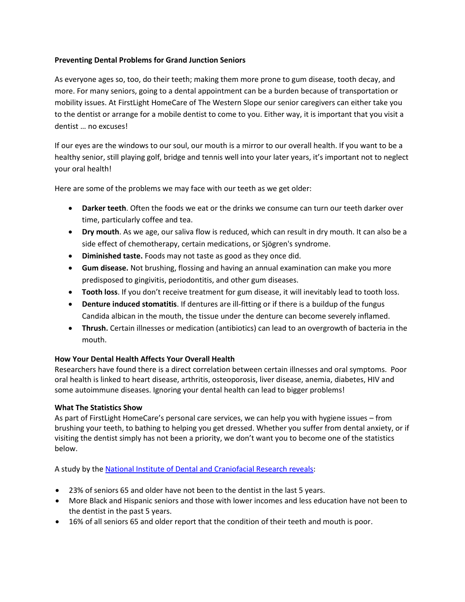## **Preventing Dental Problems for Grand Junction Seniors**

As everyone ages so, too, do their teeth; making them more prone to gum disease, tooth decay, and more. For many seniors, going to a dental appointment can be a burden because of transportation or mobility issues. At FirstLight HomeCare of The Western Slope our senior caregivers can either take you to the dentist or arrange for a mobile dentist to come to you. Either way, it is important that you visit a dentist … no excuses!

If our eyes are the windows to our soul, our mouth is a mirror to our overall health. If you want to be a healthy senior, still playing golf, bridge and tennis well into your later years, it's important not to neglect your oral health!

Here are some of the problems we may face with our teeth as we get older:

- **Darker teeth**. Often the foods we eat or the drinks we consume can turn our teeth darker over time, particularly coffee and tea.
- **Dry mouth**. As we age, our saliva flow is reduced, which can result in dry mouth. It can also be a side effect of chemotherapy, certain medications, or Sjögren's syndrome.
- **Diminished taste.** Foods may not taste as good as they once did.
- **Gum disease.** Not brushing, flossing and having an annual examination can make you more predisposed to gingivitis, periodontitis, and other gum diseases.
- **Tooth loss**. If you don't receive treatment for gum disease, it will inevitably lead to tooth loss.
- **Denture induced stomatitis**. If dentures are ill-fitting or if there is a buildup of the fungus Candida albican in the mouth, the tissue under the denture can become severely inflamed.
- **Thrush.** Certain illnesses or medication (antibiotics) can lead to an overgrowth of bacteria in the mouth.

## **How Your Dental Health Affects Your Overall Health**

Researchers have found there is a direct correlation between certain illnesses and oral symptoms. Poor oral health is linked to heart disease, arthritis, osteoporosis, liver disease, anemia, diabetes, HIV and some autoimmune diseases. Ignoring your dental health can lead to bigger problems!

## **What The Statistics Show**

As part of FirstLight HomeCare's personal care services, we can help you with hygiene issues – from brushing your teeth, to bathing to helping you get dressed. Whether you suffer from dental anxiety, or if visiting the dentist simply has not been a priority, we don't want you to become one of the statistics below.

A study by th[e National Institute of Dental and Craniofacial Research reveals:](http://www.nidcr.nih.gov/DataStatistics/FindDataByTopic/TreatmentNeeds/Seniors.htm)

- 23% of seniors 65 and older have not been to the dentist in the last 5 years.
- More Black and Hispanic seniors and those with lower incomes and less education have not been to the dentist in the past 5 years.
- 16% of all seniors 65 and older report that the condition of their teeth and mouth is poor.